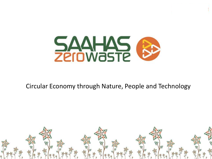

### Circular Economy through Nature, People and Technology

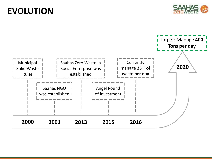# **EVOLUTION**



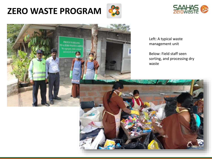# **ZERO WASTE PROGRAM**





**FROUD TO BELONG** TO A ZERO WASTE CAMPE We segregate, make compact and recycle all our

Left: A typical waste management unit

Below: Field staff seen sorting, and processing dry waste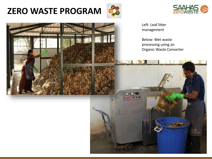# **ZERO WASTE PROGRAM**





Left: Leaf litter management

Below: Wet waste processing using an Organic Waste Converter

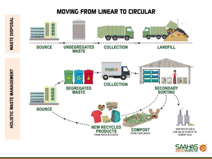### **MOVING FROM LINEAR TO CIRCULAR**



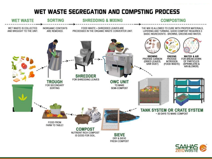### WET WASTE SEGREGATION AND COMPSTING PROCESS

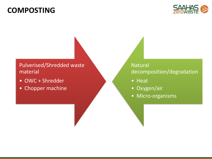### **COMPOSTING**



#### Pulverised/Shredded waste material

- OWC + Shredder
- Chopper machine

Natural decomposition/degradation

- Heat
- Oxygen/air
- Micro-organisms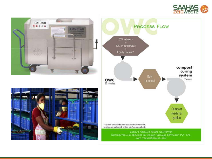





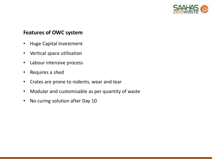

#### **Features of OWC system**

- Huge Capital Investment
- Vertical space utilisation
- Labour intensive process
- Requires a shed
- Crates are prone to rodents, wear and tear
- Modular and customisable as per quantity of waste
- No curing solution after Day 10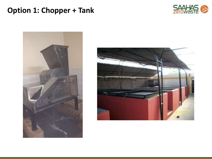## **Option 1: Chopper + Tank**





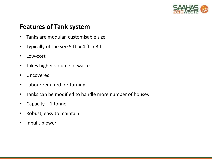

### **Features of Tank system**

- Tanks are modular, customisable size
- Typically of the size 5 ft. x 4 ft. x 3 ft.
- Low-cost
- Takes higher volume of waste
- Uncovered
- Labour required for turning
- Tanks can be modified to handle more number of houses
- Capacity 1 tonne
- Robust, easy to maintain
- Inbuilt blower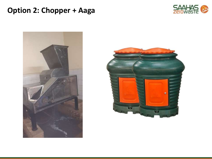## **Option 2: Chopper + Aaga**





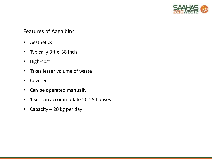

#### Features of Aaga bins

- Aesthetics
- Typically 3ft x 38 inch
- High-cost
- Takes lesser volume of waste
- Covered
- Can be operated manually
- 1 set can accommodate 20-25 houses
- Capacity 20 kg per day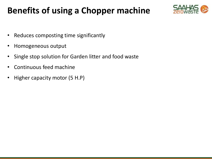# **Benefits of using a Chopper machine**



- Reduces composting time significantly
- Homogeneous output
- Single stop solution for Garden litter and food waste
- Continuous feed machine
- Higher capacity motor (5 H.P)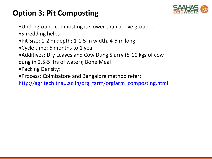## **Option 3: Pit Composting**



- •Underground composting is slower than above ground.
- •Shredding helps
- •Pit Size: 1-2 m depth; 1-1.5 m width, 4-5 m long
- •Cycle time: 6 months to 1 year
- •Additives: Dry Leaves and Cow Dung Slurry (5-10 kgs of cow
- dung in 2.5-5 ltrs of water); Bone Meal
- •Packing Density:
- •Process: Coimbatore and Bangalore method refer:
- [http://agritech.tnau.ac.in/org\\_farm/orgfarm\\_composting.html](http://agritech.tnau.ac.in/org_farm/orgfarm_composting.html)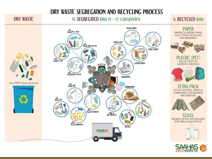

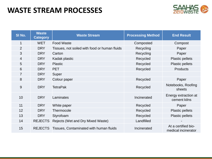## **WASTE STREAM PROCESSES**



| SI No.         | <b>Waste</b><br><b>Category</b> | <b>Waste Stream</b>                           | <b>Processing Method</b> | <b>End Result</b>                          |
|----------------|---------------------------------|-----------------------------------------------|--------------------------|--------------------------------------------|
| 1              | <b>WET</b>                      | <b>Food Waste</b>                             | Composted                | Compost                                    |
| $\overline{2}$ | <b>DRY</b>                      | Tissues, not soiled with food or human fluids | Recycling                | Paper                                      |
| 3              | <b>DRY</b>                      | Carton                                        | Recycling                | Paper                                      |
| 4              | <b>DRY</b>                      | Kadak plastic                                 | Recycled                 | <b>Plastic pellets</b>                     |
| 5              | <b>DRY</b>                      | <b>Plastic</b>                                | Recycled                 | <b>Plastic pellets</b>                     |
| 6              | <b>DRY</b>                      | <b>PET</b>                                    | Recycled                 | <b>Products</b>                            |
| $\overline{7}$ | <b>DRY</b>                      | Super                                         |                          |                                            |
| 8              | <b>DRY</b>                      | Colour paper                                  | Recycled                 | Paper                                      |
| 9              | <b>DRY</b>                      | <b>TetraPak</b>                               | Recycled                 | Notebooks, Roofing<br>sheets               |
| 10             | <b>DRY</b>                      | Laminates                                     | Incinerated              | Energy extraction at<br>cement kilns       |
| 11             | <b>DRY</b>                      | White paper                                   | Recycled                 | Paper                                      |
| 12             | <b>DRY</b>                      | Thermocole                                    | Recycled                 | <b>Plastic pellets</b>                     |
| 13             | <b>DRY</b>                      | Styrofoam                                     | Recycled                 | <b>Plastic pellets</b>                     |
| 14             | <b>REJECTS</b>                  | Rejects (Wet and Dry Mixed Waste)             | Landfilled               |                                            |
| 15             | <b>REJECTS</b>                  | Tissues, Contaminated with human fluids       | Incinerated              | At a certified bio-<br>medical incinerator |